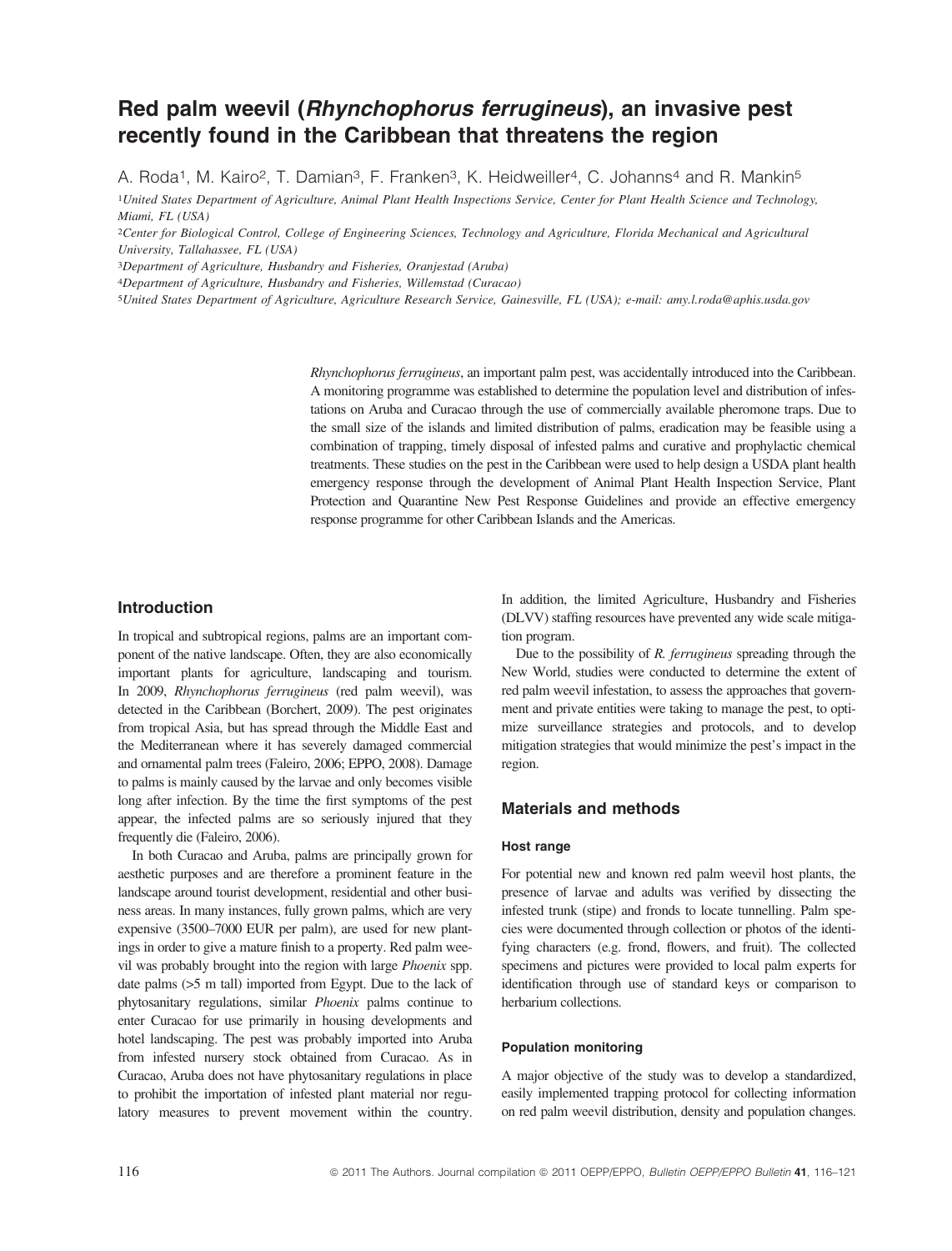# Red palm weevil (Rhynchophorus ferrugineus), an invasive pest recently found in the Caribbean that threatens the region

A. Roda<sup>1</sup>, M. Kairo<sup>2</sup>, T. Damian<sup>3</sup>, F. Franken<sup>3</sup>, K. Heidweiller<sup>4</sup>, C. Johanns<sup>4</sup> and R. Mankin<sup>5</sup>

1United States Department of Agriculture, Animal Plant Health Inspections Service, Center for Plant Health Science and Technology, Miami, FL (USA)

2Center for Biological Control, College of Engineering Sciences, Technology and Agriculture, Florida Mechanical and Agricultural University, Tallahassee, FL (USA)

3Department of Agriculture, Husbandry and Fisheries, Oranjestad (Aruba)

4Department of Agriculture, Husbandry and Fisheries, Willemstad (Curacao)

5United States Department of Agriculture, Agriculture Research Service, Gainesville, FL (USA); e-mail: amy.l.roda@aphis.usda.gov

Rhynchophorus ferrugineus, an important palm pest, was accidentally introduced into the Caribbean. A monitoring programme was established to determine the population level and distribution of infestations on Aruba and Curacao through the use of commercially available pheromone traps. Due to the small size of the islands and limited distribution of palms, eradication may be feasible using a combination of trapping, timely disposal of infested palms and curative and prophylactic chemical treatments. These studies on the pest in the Caribbean were used to help design a USDA plant health emergency response through the development of Animal Plant Health Inspection Service, Plant Protection and Quarantine New Pest Response Guidelines and provide an effective emergency response programme for other Caribbean Islands and the Americas.

### Introduction

In tropical and subtropical regions, palms are an important component of the native landscape. Often, they are also economically important plants for agriculture, landscaping and tourism. In 2009, Rhynchophorus ferrugineus (red palm weevil), was detected in the Caribbean (Borchert, 2009). The pest originates from tropical Asia, but has spread through the Middle East and the Mediterranean where it has severely damaged commercial and ornamental palm trees (Faleiro, 2006; EPPO, 2008). Damage to palms is mainly caused by the larvae and only becomes visible long after infection. By the time the first symptoms of the pest appear, the infected palms are so seriously injured that they frequently die (Faleiro, 2006).

In both Curacao and Aruba, palms are principally grown for aesthetic purposes and are therefore a prominent feature in the landscape around tourist development, residential and other business areas. In many instances, fully grown palms, which are very expensive (3500–7000 EUR per palm), are used for new plantings in order to give a mature finish to a property. Red palm weevil was probably brought into the region with large Phoenix spp. date palms (>5 m tall) imported from Egypt. Due to the lack of phytosanitary regulations, similar Phoenix palms continue to enter Curacao for use primarily in housing developments and hotel landscaping. The pest was probably imported into Aruba from infested nursery stock obtained from Curacao. As in Curacao, Aruba does not have phytosanitary regulations in place to prohibit the importation of infested plant material nor regulatory measures to prevent movement within the country.

In addition, the limited Agriculture, Husbandry and Fisheries (DLVV) staffing resources have prevented any wide scale mitigation program.

Due to the possibility of R. *ferrugineus* spreading through the New World, studies were conducted to determine the extent of red palm weevil infestation, to assess the approaches that government and private entities were taking to manage the pest, to optimize surveillance strategies and protocols, and to develop mitigation strategies that would minimize the pest's impact in the region.

### Materials and methods

#### Host range

For potential new and known red palm weevil host plants, the presence of larvae and adults was verified by dissecting the infested trunk (stipe) and fronds to locate tunnelling. Palm species were documented through collection or photos of the identifying characters (e.g. frond, flowers, and fruit). The collected specimens and pictures were provided to local palm experts for identification through use of standard keys or comparison to herbarium collections.

### Population monitoring

A major objective of the study was to develop a standardized, easily implemented trapping protocol for collecting information on red palm weevil distribution, density and population changes.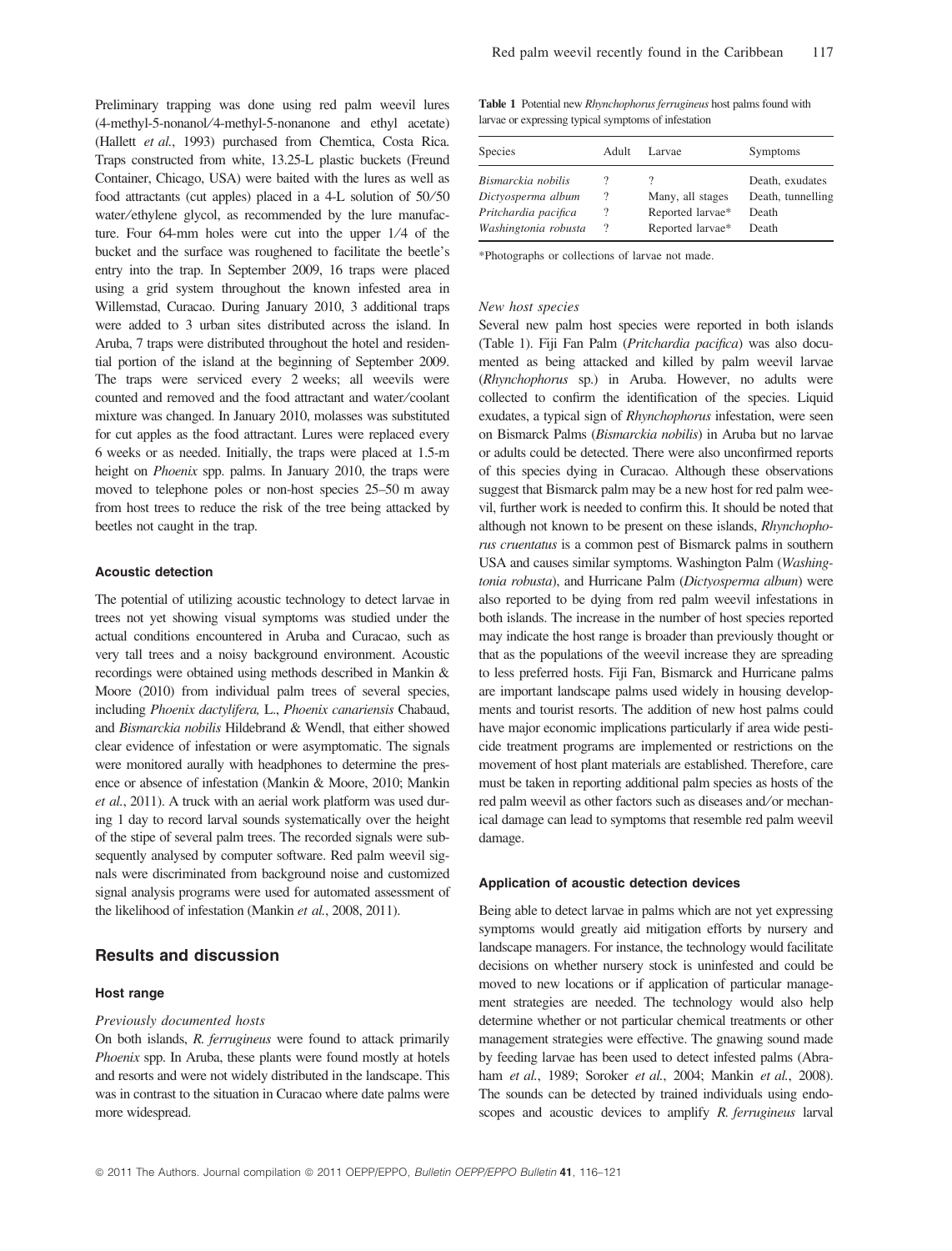Preliminary trapping was done using red palm weevil lures (4-methyl-5-nonanol⁄ 4-methyl-5-nonanone and ethyl acetate) (Hallett et al., 1993) purchased from Chemtica, Costa Rica. Traps constructed from white, 13.25-L plastic buckets (Freund Container, Chicago, USA) were baited with the lures as well as food attractants (cut apples) placed in a  $4-L$  solution of  $50/50$ water⁄ ethylene glycol, as recommended by the lure manufacture. Four  $64$ -mm holes were cut into the upper  $1/4$  of the bucket and the surface was roughened to facilitate the beetle's entry into the trap. In September 2009, 16 traps were placed using a grid system throughout the known infested area in Willemstad, Curacao. During January 2010, 3 additional traps were added to 3 urban sites distributed across the island. In Aruba, 7 traps were distributed throughout the hotel and residential portion of the island at the beginning of September 2009. The traps were serviced every 2 weeks; all weevils were counted and removed and the food attractant and water⁄ coolant mixture was changed. In January 2010, molasses was substituted for cut apples as the food attractant. Lures were replaced every 6 weeks or as needed. Initially, the traps were placed at 1.5-m height on *Phoenix* spp. palms. In January 2010, the traps were moved to telephone poles or non-host species 25–50 m away from host trees to reduce the risk of the tree being attacked by beetles not caught in the trap.

### Acoustic detection

The potential of utilizing acoustic technology to detect larvae in trees not yet showing visual symptoms was studied under the actual conditions encountered in Aruba and Curacao, such as very tall trees and a noisy background environment. Acoustic recordings were obtained using methods described in Mankin & Moore (2010) from individual palm trees of several species, including Phoenix dactylifera, L., Phoenix canariensis Chabaud, and Bismarckia nobilis Hildebrand & Wendl, that either showed clear evidence of infestation or were asymptomatic. The signals were monitored aurally with headphones to determine the presence or absence of infestation (Mankin & Moore, 2010; Mankin et al., 2011). A truck with an aerial work platform was used during 1 day to record larval sounds systematically over the height of the stipe of several palm trees. The recorded signals were subsequently analysed by computer software. Red palm weevil signals were discriminated from background noise and customized signal analysis programs were used for automated assessment of the likelihood of infestation (Mankin et al., 2008, 2011).

### Results and discussion

### Host range

### Previously documented hosts

On both islands, R. ferrugineus were found to attack primarily Phoenix spp. In Aruba, these plants were found mostly at hotels and resorts and were not widely distributed in the landscape. This was in contrast to the situation in Curacao where date palms were more widespread.

Table 1 Potential new Rhynchophorus ferrugineus host palms found with larvae or expressing typical symptoms of infestation

| <b>Species</b>       | Adult                    | Larvae           | Symptoms          |
|----------------------|--------------------------|------------------|-------------------|
| Bismarckia nobilis   |                          | 9                | Death, exudates   |
| Dictyosperma album   | ?                        | Many, all stages | Death, tunnelling |
| Pritchardia pacifica | $\overline{\mathcal{L}}$ | Reported larvae* | Death             |
| Washingtonia robusta |                          | Reported larvae* | Death             |

\*Photographs or collections of larvae not made.

#### New host species

Several new palm host species were reported in both islands (Table 1). Fiji Fan Palm (Pritchardia pacifica) was also documented as being attacked and killed by palm weevil larvae (Rhynchophorus sp.) in Aruba. However, no adults were collected to confirm the identification of the species. Liquid exudates, a typical sign of Rhynchophorus infestation, were seen on Bismarck Palms (Bismarckia nobilis) in Aruba but no larvae or adults could be detected. There were also unconfirmed reports of this species dying in Curacao. Although these observations suggest that Bismarck palm may be a new host for red palm weevil, further work is needed to confirm this. It should be noted that although not known to be present on these islands, Rhynchophorus cruentatus is a common pest of Bismarck palms in southern USA and causes similar symptoms. Washington Palm (Washingtonia robusta), and Hurricane Palm (Dictyosperma album) were also reported to be dying from red palm weevil infestations in both islands. The increase in the number of host species reported may indicate the host range is broader than previously thought or that as the populations of the weevil increase they are spreading to less preferred hosts. Fiji Fan, Bismarck and Hurricane palms are important landscape palms used widely in housing developments and tourist resorts. The addition of new host palms could have major economic implications particularly if area wide pesticide treatment programs are implemented or restrictions on the movement of host plant materials are established. Therefore, care must be taken in reporting additional palm species as hosts of the red palm weevil as other factors such as diseases and⁄ or mechanical damage can lead to symptoms that resemble red palm weevil damage.

#### Application of acoustic detection devices

Being able to detect larvae in palms which are not yet expressing symptoms would greatly aid mitigation efforts by nursery and landscape managers. For instance, the technology would facilitate decisions on whether nursery stock is uninfested and could be moved to new locations or if application of particular management strategies are needed. The technology would also help determine whether or not particular chemical treatments or other management strategies were effective. The gnawing sound made by feeding larvae has been used to detect infested palms (Abraham et al., 1989; Soroker et al., 2004; Mankin et al., 2008). The sounds can be detected by trained individuals using endoscopes and acoustic devices to amplify R. ferrugineus larval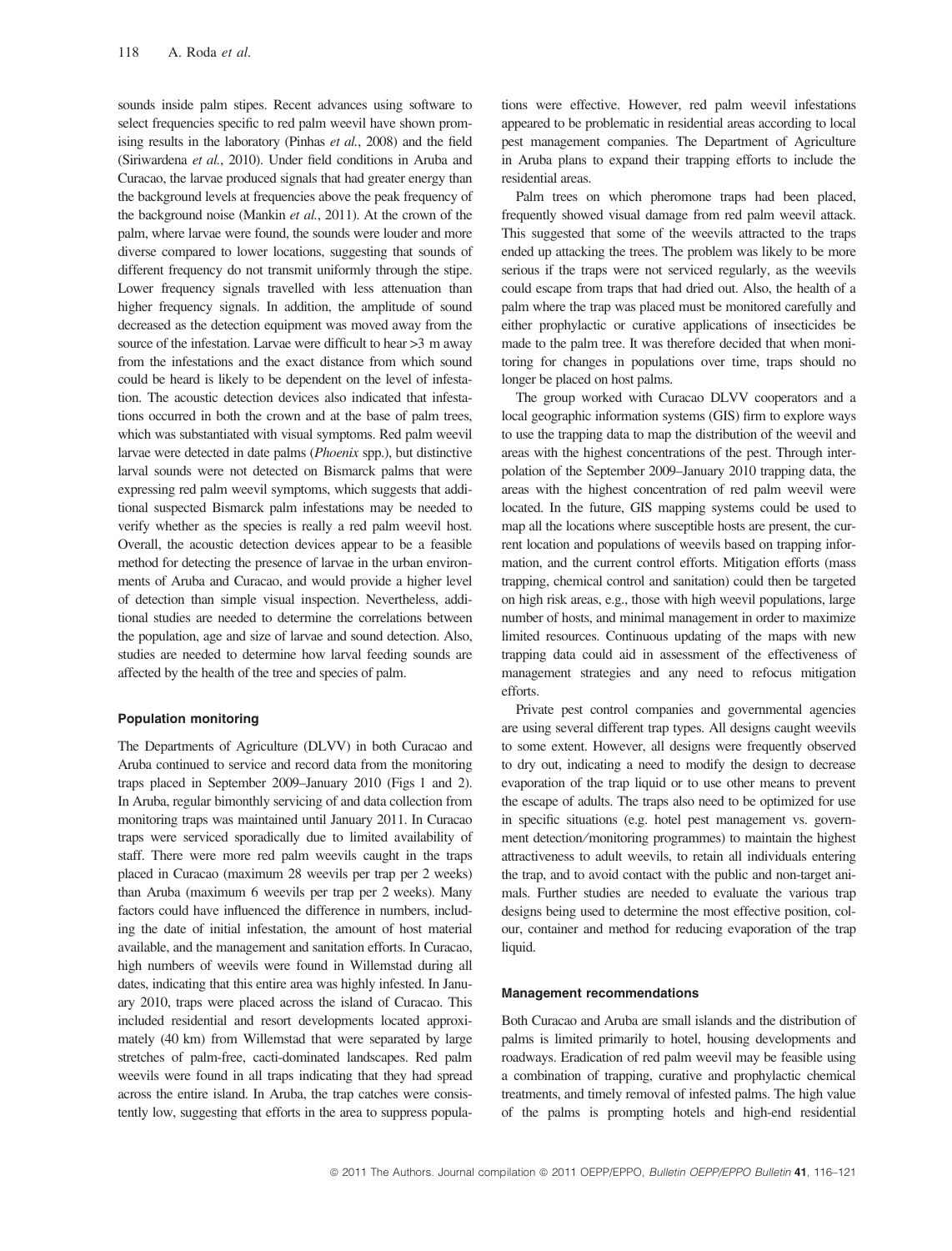sounds inside palm stipes. Recent advances using software to select frequencies specific to red palm weevil have shown promising results in the laboratory (Pinhas et al., 2008) and the field (Siriwardena et al., 2010). Under field conditions in Aruba and Curacao, the larvae produced signals that had greater energy than the background levels at frequencies above the peak frequency of the background noise (Mankin et al., 2011). At the crown of the palm, where larvae were found, the sounds were louder and more diverse compared to lower locations, suggesting that sounds of different frequency do not transmit uniformly through the stipe. Lower frequency signals travelled with less attenuation than higher frequency signals. In addition, the amplitude of sound decreased as the detection equipment was moved away from the source of the infestation. Larvae were difficult to hear >3 m away from the infestations and the exact distance from which sound could be heard is likely to be dependent on the level of infestation. The acoustic detection devices also indicated that infestations occurred in both the crown and at the base of palm trees, which was substantiated with visual symptoms. Red palm weevil larvae were detected in date palms (Phoenix spp.), but distinctive larval sounds were not detected on Bismarck palms that were expressing red palm weevil symptoms, which suggests that additional suspected Bismarck palm infestations may be needed to verify whether as the species is really a red palm weevil host. Overall, the acoustic detection devices appear to be a feasible method for detecting the presence of larvae in the urban environments of Aruba and Curacao, and would provide a higher level of detection than simple visual inspection. Nevertheless, additional studies are needed to determine the correlations between the population, age and size of larvae and sound detection. Also, studies are needed to determine how larval feeding sounds are affected by the health of the tree and species of palm.

#### Population monitoring

The Departments of Agriculture (DLVV) in both Curacao and Aruba continued to service and record data from the monitoring traps placed in September 2009–January 2010 (Figs 1 and 2). In Aruba, regular bimonthly servicing of and data collection from monitoring traps was maintained until January 2011. In Curacao traps were serviced sporadically due to limited availability of staff. There were more red palm weevils caught in the traps placed in Curacao (maximum 28 weevils per trap per 2 weeks) than Aruba (maximum 6 weevils per trap per 2 weeks). Many factors could have influenced the difference in numbers, including the date of initial infestation, the amount of host material available, and the management and sanitation efforts. In Curacao, high numbers of weevils were found in Willemstad during all dates, indicating that this entire area was highly infested. In January 2010, traps were placed across the island of Curacao. This included residential and resort developments located approximately (40 km) from Willemstad that were separated by large stretches of palm-free, cacti-dominated landscapes. Red palm weevils were found in all traps indicating that they had spread across the entire island. In Aruba, the trap catches were consistently low, suggesting that efforts in the area to suppress populations were effective. However, red palm weevil infestations appeared to be problematic in residential areas according to local pest management companies. The Department of Agriculture in Aruba plans to expand their trapping efforts to include the residential areas.

Palm trees on which pheromone traps had been placed, frequently showed visual damage from red palm weevil attack. This suggested that some of the weevils attracted to the traps ended up attacking the trees. The problem was likely to be more serious if the traps were not serviced regularly, as the weevils could escape from traps that had dried out. Also, the health of a palm where the trap was placed must be monitored carefully and either prophylactic or curative applications of insecticides be made to the palm tree. It was therefore decided that when monitoring for changes in populations over time, traps should no longer be placed on host palms.

The group worked with Curacao DLVV cooperators and a local geographic information systems (GIS) firm to explore ways to use the trapping data to map the distribution of the weevil and areas with the highest concentrations of the pest. Through interpolation of the September 2009–January 2010 trapping data, the areas with the highest concentration of red palm weevil were located. In the future, GIS mapping systems could be used to map all the locations where susceptible hosts are present, the current location and populations of weevils based on trapping information, and the current control efforts. Mitigation efforts (mass trapping, chemical control and sanitation) could then be targeted on high risk areas, e.g., those with high weevil populations, large number of hosts, and minimal management in order to maximize limited resources. Continuous updating of the maps with new trapping data could aid in assessment of the effectiveness of management strategies and any need to refocus mitigation efforts.

Private pest control companies and governmental agencies are using several different trap types. All designs caught weevils to some extent. However, all designs were frequently observed to dry out, indicating a need to modify the design to decrease evaporation of the trap liquid or to use other means to prevent the escape of adults. The traps also need to be optimized for use in specific situations (e.g. hotel pest management vs. government detection/monitoring programmes) to maintain the highest attractiveness to adult weevils, to retain all individuals entering the trap, and to avoid contact with the public and non-target animals. Further studies are needed to evaluate the various trap designs being used to determine the most effective position, colour, container and method for reducing evaporation of the trap liquid.

### Management recommendations

Both Curacao and Aruba are small islands and the distribution of palms is limited primarily to hotel, housing developments and roadways. Eradication of red palm weevil may be feasible using a combination of trapping, curative and prophylactic chemical treatments, and timely removal of infested palms. The high value of the palms is prompting hotels and high-end residential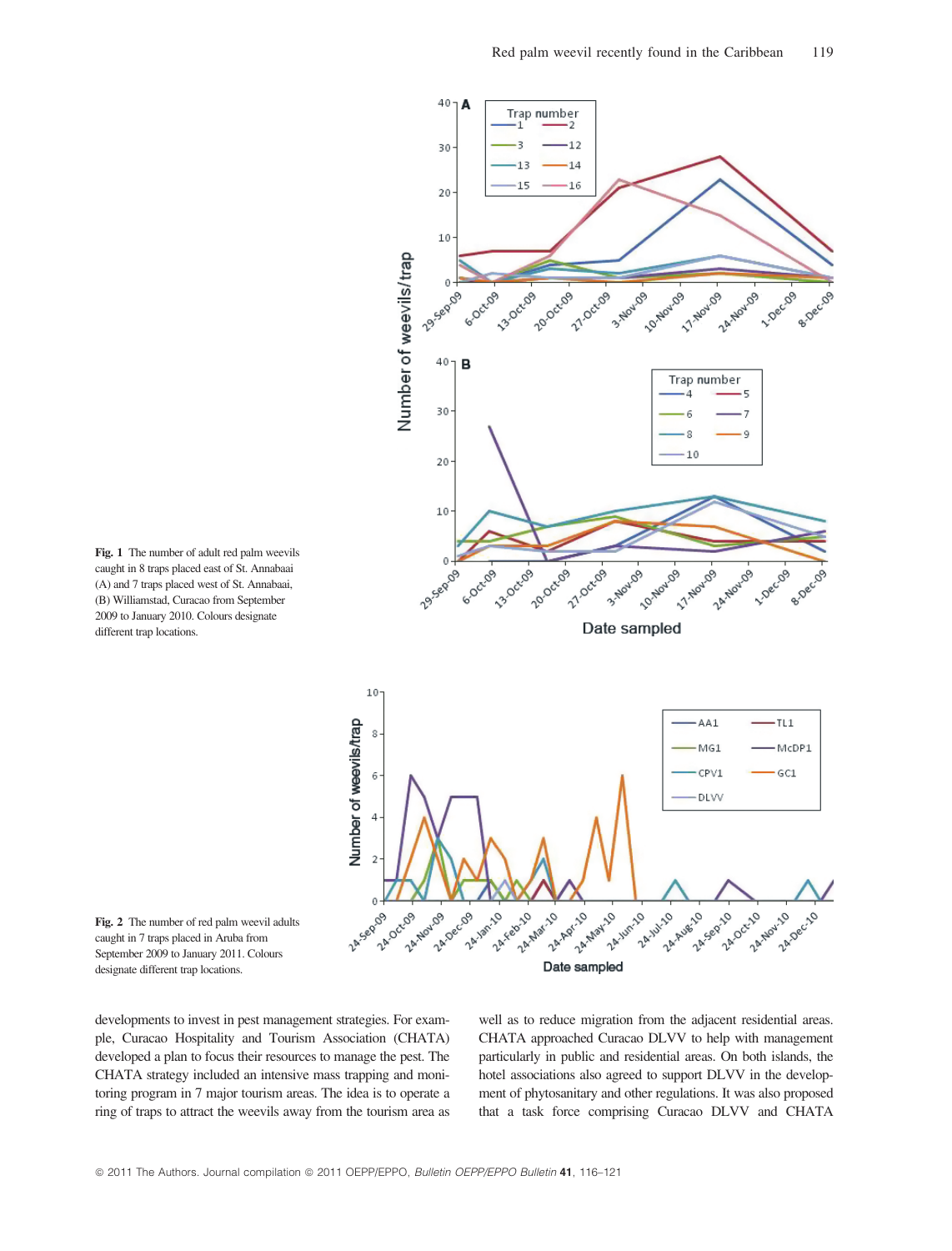$40$ 



Fig. 1 The number of adult red palm weevils caught in 8 traps placed east of St. Annabaai (A) and 7 traps placed west of St. Annabaai, (B) Williamstad, Curacao from September 2009 to January 2010. Colours designate different trap locations.

Fig. 2 The number of red palm weevil adults caught in 7 traps placed in Aruba from September 2009 to January 2011. Colours designate different trap locations.

developments to invest in pest management strategies. For example, Curacao Hospitality and Tourism Association (CHATA) developed a plan to focus their resources to manage the pest. The CHATA strategy included an intensive mass trapping and monitoring program in 7 major tourism areas. The idea is to operate a ring of traps to attract the weevils away from the tourism area as well as to reduce migration from the adjacent residential areas. CHATA approached Curacao DLVV to help with management particularly in public and residential areas. On both islands, the hotel associations also agreed to support DLVV in the development of phytosanitary and other regulations. It was also proposed that a task force comprising Curacao DLVV and CHATA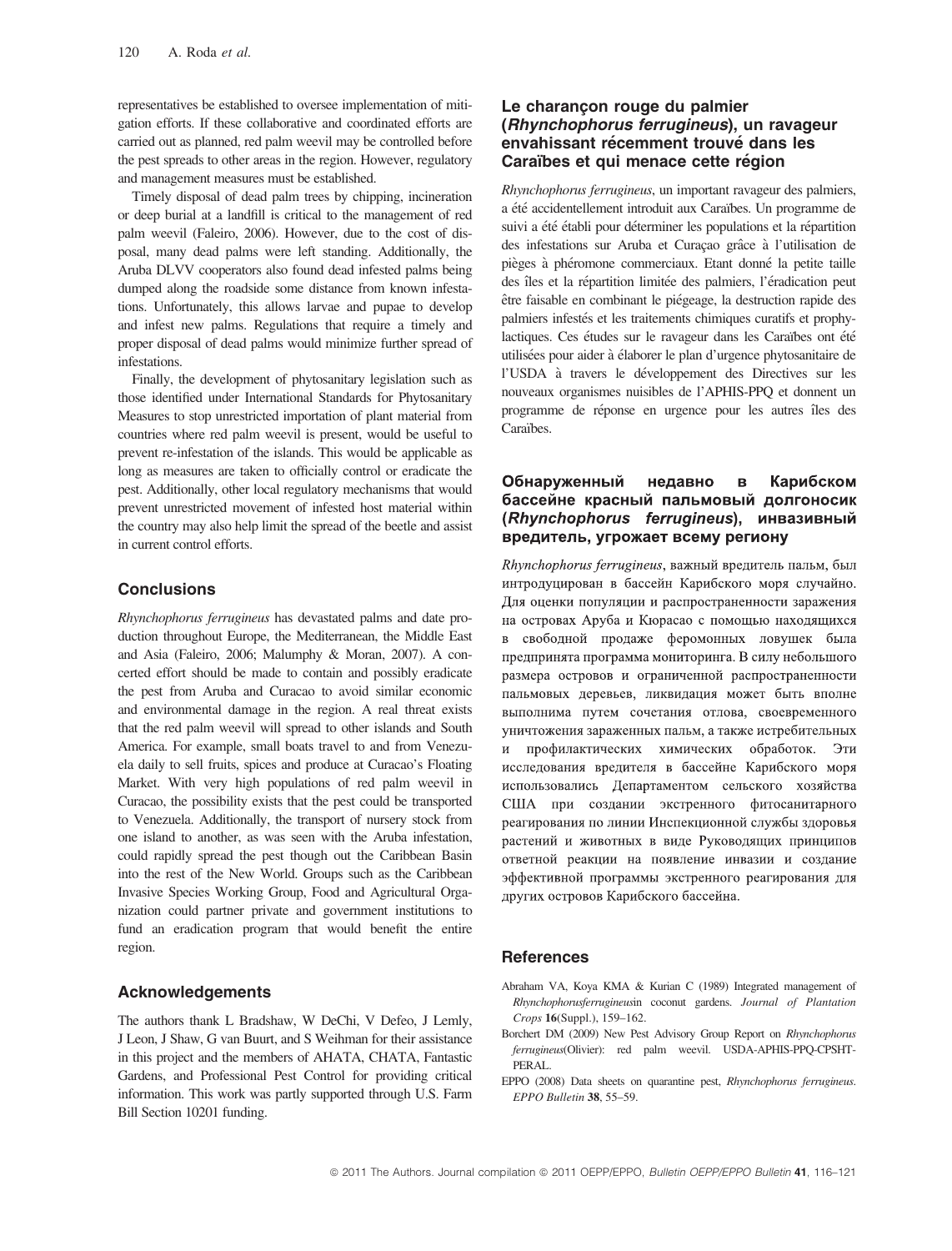representatives be established to oversee implementation of mitigation efforts. If these collaborative and coordinated efforts are carried out as planned, red palm weevil may be controlled before the pest spreads to other areas in the region. However, regulatory and management measures must be established.

Timely disposal of dead palm trees by chipping, incineration or deep burial at a landfill is critical to the management of red palm weevil (Faleiro, 2006). However, due to the cost of disposal, many dead palms were left standing. Additionally, the Aruba DLVV cooperators also found dead infested palms being dumped along the roadside some distance from known infestations. Unfortunately, this allows larvae and pupae to develop and infest new palms. Regulations that require a timely and proper disposal of dead palms would minimize further spread of infestations.

Finally, the development of phytosanitary legislation such as those identified under International Standards for Phytosanitary Measures to stop unrestricted importation of plant material from countries where red palm weevil is present, would be useful to prevent re-infestation of the islands. This would be applicable as long as measures are taken to officially control or eradicate the pest. Additionally, other local regulatory mechanisms that would prevent unrestricted movement of infested host material within the country may also help limit the spread of the beetle and assist in current control efforts.

## **Conclusions**

Rhynchophorus ferrugineus has devastated palms and date production throughout Europe, the Mediterranean, the Middle East and Asia (Faleiro, 2006; Malumphy & Moran, 2007). A concerted effort should be made to contain and possibly eradicate the pest from Aruba and Curacao to avoid similar economic and environmental damage in the region. A real threat exists that the red palm weevil will spread to other islands and South America. For example, small boats travel to and from Venezuela daily to sell fruits, spices and produce at Curacao's Floating Market. With very high populations of red palm weevil in Curacao, the possibility exists that the pest could be transported to Venezuela. Additionally, the transport of nursery stock from one island to another, as was seen with the Aruba infestation, could rapidly spread the pest though out the Caribbean Basin into the rest of the New World. Groups such as the Caribbean Invasive Species Working Group, Food and Agricultural Organization could partner private and government institutions to fund an eradication program that would benefit the entire region.

### Acknowledgements

The authors thank L Bradshaw, W DeChi, V Defeo, J Lemly, J Leon, J Shaw, G van Buurt, and S Weihman for their assistance in this project and the members of AHATA, CHATA, Fantastic Gardens, and Professional Pest Control for providing critical information. This work was partly supported through U.S. Farm Bill Section 10201 funding.

### Le charançon rouge du palmier (Rhynchophorus ferrugineus), un ravageur envahissant récemment trouvé dans les Caraïbes et qui menace cette région

Rhynchophorus ferrugineus, un important ravageur des palmiers, a été accidentellement introduit aux Caraïbes. Un programme de suivi a été établi pour déterminer les populations et la répartition des infestations sur Aruba et Curação grâce à l'utilisation de pièges à phéromone commerciaux. Etant donné la petite taille des îles et la répartition limitée des palmiers, l'éradication peut être faisable en combinant le piégeage, la destruction rapide des palmiers infestés et les traitements chimiques curatifs et prophylactiques. Ces études sur le ravageur dans les Caraïbes ont été utilisées pour aider à élaborer le plan d'urgence phytosanitaire de l'USDA à travers le développement des Directives sur les nouveaux organismes nuisibles de l'APHIS-PPQ et donnent un programme de réponse en urgence pour les autres îles des Caraïbes.

#### Обнаруженный недавно  $\, {\bf B}$ Карибском бассейне красный пальмовый долгоносик (Rhynchophorus ferrugineus), инвазивный вредитель, угрожает всему региону

Rhynchophorus ferrugineus, важный вредитель пальм, был интродуцирован в бассейн Карибского моря случайно. Для оценки популяции и распространенности заражения на островах Аруба и Кюрасао с помощью находящихся в свободной продаже феромонных ловушек была предпринята программа мониторинга. В силу небольшого размера островов и ограниченной распространенности пальмовых деревьев, ликвидация может быть вполне выполнима путем сочетания отлова, своевременного уничтожения зараженных пальм, а также истребительных и профилактических химических обработок. Эти исследования вредителя в бассейне Карибского моря использовались Департаментом сельского хозяйства США при создании экстренного фитосанитарного реагирования по линии Инспекционной службы здоровья растений и животных в виде Руководящих принципов ответной реакции на появление инвазии и создание эффективной программы экстренного реагирования для других островов Карибского бассейна.

### **References**

- Abraham VA, Koya KMA & Kurian C (1989) Integrated management of Rhynchophorusferrugineusin coconut gardens. Journal of Plantation Crops 16(Suppl.), 159–162.
- Borchert DM (2009) New Pest Advisory Group Report on Rhynchophorus ferrugineus(Olivier): red palm weevil. USDA-APHIS-PPQ-CPSHT-**PERAL**
- EPPO (2008) Data sheets on quarantine pest, Rhynchophorus ferrugineus. EPPO Bulletin 38, 55–59.